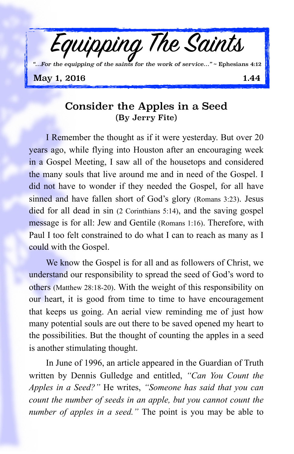

## Consider the Apples in a Seed (By Jerry Fite)

I Remember the thought as if it were yesterday. But over 20 years ago, while flying into Houston after an encouraging week in a Gospel Meeting, I saw all of the housetops and considered the many souls that live around me and in need of the Gospel. I did not have to wonder if they needed the Gospel, for all have sinned and have fallen short of God's glory (Romans 3:23). Jesus died for all dead in sin (2 Corinthians 5:14), and the saving gospel message is for all: Jew and Gentile (Romans 1:16). Therefore, with Paul I too felt constrained to do what I can to reach as many as I could with the Gospel.

We know the Gospel is for all and as followers of Christ, we understand our responsibility to spread the seed of God's word to others (Matthew 28:18-20). With the weight of this responsibility on our heart, it is good from time to time to have encouragement that keeps us going. An aerial view reminding me of just how many potential souls are out there to be saved opened my heart to the possibilities. But the thought of counting the apples in a seed is another stimulating thought.

In June of 1996, an article appeared in the Guardian of Truth written by Dennis Gulledge and entitled, *"Can You Count the Apples in a Seed?"* He writes, *"Someone has said that you can count the number of seeds in an apple, but you cannot count the number of apples in a seed."* The point is you may be able to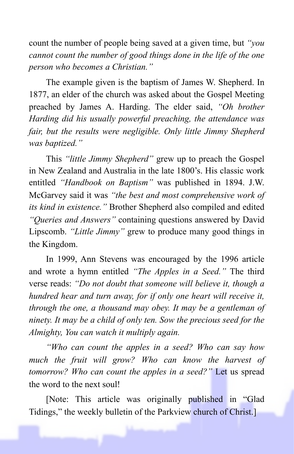count the number of people being saved at a given time, but *"you cannot count the number of good things done in the life of the one person who becomes a Christian."*

The example given is the baptism of James W. Shepherd. In 1877, an elder of the church was asked about the Gospel Meeting preached by James A. Harding. The elder said, *"Oh brother Harding did his usually powerful preaching, the attendance was fair, but the results were negligible. Only little Jimmy Shepherd was baptized."*

This *"little Jimmy Shepherd"* grew up to preach the Gospel in New Zealand and Australia in the late 1800's. His classic work entitled *"Handbook on Baptism"* was published in 1894. J.W. McGarvey said it was *"the best and most comprehensive work of its kind in existence."* Brother Shepherd also compiled and edited *"Queries and Answers"* containing questions answered by David Lipscomb. *"Little Jimmy"* grew to produce many good things in the Kingdom.

In 1999, Ann Stevens was encouraged by the 1996 article and wrote a hymn entitled *"The Apples in a Seed."* The third verse reads: *"Do not doubt that someone will believe it, though a hundred hear and turn away, for if only one heart will receive it, through the one, a thousand may obey. It may be a gentleman of ninety. It may be a child of only ten. Sow the precious seed for the Almighty, You can watch it multiply again.*

*"Who can count the apples in a seed? Who can say how much the fruit will grow? Who can know the harvest of tomorrow? Who can count the apples in a seed?"* Let us spread the word to the next soul!

[Note: This article was originally published in "Glad Tidings," the weekly bulletin of the Parkview church of Christ.]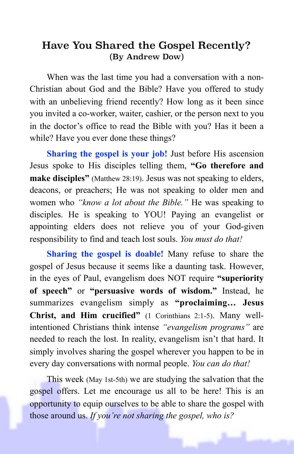## Have You Shared the Gospel Recently? (By Andrew Dow)

When was the last time you had a conversation with a non-Christian about God and the Bible? Have you offered to study with an unbelieving friend recently? How long as it been since you invited a co-worker, waiter, cashier, or the person next to you in the doctor's office to read the Bible with you? Has it been a while? Have you ever done these things?

**Sharing the gospel is your job!** Just before His ascension Jesus spoke to His disciples telling them, **"Go therefore and make disciples"** (Matthew 28:19). Jesus was not speaking to elders, deacons, or preachers; He was not speaking to older men and women who *"know a lot about the Bible."* He was speaking to disciples. He is speaking to YOU! Paying an evangelist or appointing elders does not relieve you of your God-given responsibility to find and teach lost souls. *You must do that!*

**Sharing the gospel is doable!** Many refuse to share the gospel of Jesus because it seems like a daunting task. However, in the eyes of Paul, evangelism does NOT require **"superiority of speech"** or **"persuasive words of wisdom."** Instead, he summarizes evangelism simply as **"proclaiming… Jesus Christ, and Him crucified"** (1 Corinthians 2:1-5). Many wellintentioned Christians think intense *"evangelism programs"* are needed to reach the lost. In reality, evangelism isn't that hard. It simply involves sharing the gospel wherever you happen to be in every day conversations with normal people. *You can do that!*

This week (May 1st-5th) we are studying the salvation that the gospel offers. Let me encourage us all to be here! This is an opportunity to equip ourselves to be able to share the gospel with those around us. *If you're not sharing the gospel, who is?*